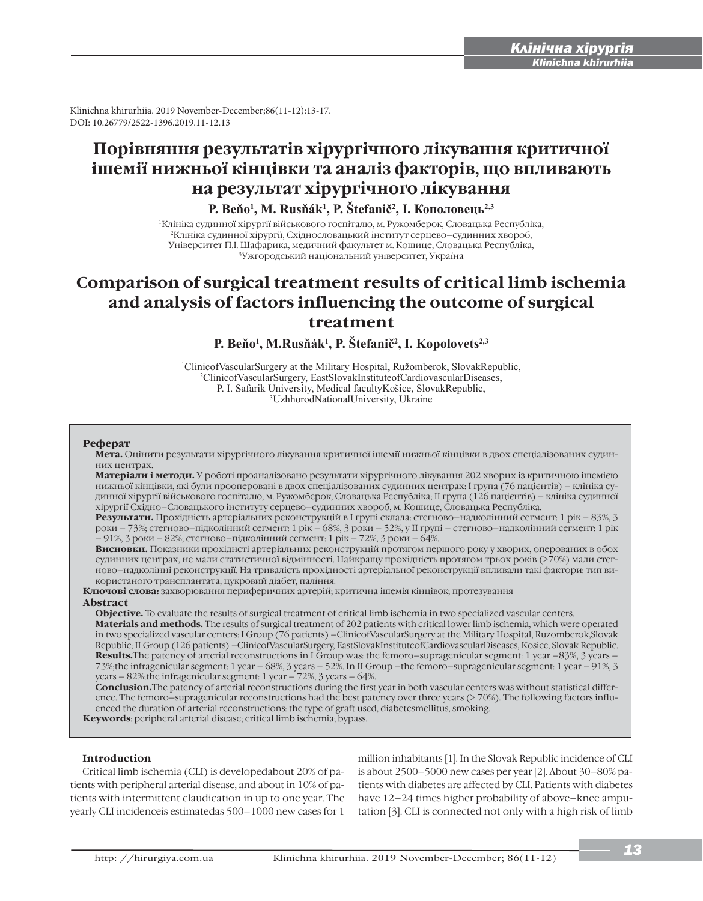i

Klinichna khirurhiia. 2019 November-December;86(11-12):13-17. DOI: 10.26779/2522-1396.2019.11-12.13

# **Порівняння результатів хірургічного лікування критичної ішемії нижньої кінцівки та аналіз факторів, що впливають на результат хірургічного лікування**

**Р. Вейо<sup>1</sup>, М. Rusňák<sup>1</sup>, Р. Štefanič<sup>2</sup>, І. Кополовець<sup>2,3</sup>** 

1Клініка судинної хірургії військового госпіталю, м. Ружомберок, Словацька Республіка, 2Клініка судинної хірургії, Східнословацький інститут серцево–судинних хвороб, Університет П.І. Шафарика, медичний факультет м. Кошице, Словацька Республіка, 3Ужгородський національний університет, Україна

## **Comparison of surgical treatment results of critical limb ischemia and analysis of factors influencing the outcome of surgical treatment**

P. Beňo<sup>1</sup>, M.Rusňák<sup>1</sup>, P. Štefanič<sup>2</sup>, I. Kopolovets<sup>2,3</sup>

<sup>1</sup>ClinicofVascularSurgery at the Military Hospital, Ružomberok, SlovakRepublic, <sup>2</sup>ClinicofVascularSurgery, EastSlovakInstituteofCardiovascularDiseases, P. I. Safarik University, Medical facultyKošice, SlovakRepublic, <sup>3</sup>UzhhorodNationalUniversity, Ukraine

#### **Реферат**

**Мета.** Оцінити результати хірургічного лікування критичної ішемії нижньої кінцівки в двох спеціалізованих судинних центрах.

**Матеріали і методи.** У роботі проаналізовано результати хірургічного лікування 202 хворих із критичною ішемією нижньої кінцівки, які були прооперовані в двох спеціалізованих судинних центрах: І група (76 пацієнтів) – клініка судинної хірургії військового госпіталю, м. Ружомберок, Словацька Республіка; ІІ група (126 пацієнтів) – клініка судинної хірургії Східно–Словацького інституту серцево–судинних хвороб, м. Кошице, Словацька Республіка.

**Результати.** Прохідність артеріальних реконструкцій в І групі склала: стегново–надколінний сегмент: 1 рік – 83%, 3 роки – 73%; стегново–підколінний сегмент: 1 рік – 68%, 3 роки – 52%, у ІІ групі – стегново–надколінний сегмент: 1 рік – 91%, 3 роки – 82%; стегново–підколінний сегмент: 1 рік – 72%, 3 роки – 64%.

**Висновки.** Показники прохіднсті артеріальних реконструкцій протягом першого року у хворих, оперованих в обох судинних центрах, не мали статистичної відмінності. Найкращу прохідність протягом трьох років (>70%) мали стегново–надколінні реконструкції. На тривалість прохідності артеріальної реконструкції впливали такі фактори: тип використаного трансплантата, цукровий діабет, паління.

**Ключові слова:** захворювання периферичних артерій; критична ішемія кінцівок; протезування

## **Abstract**

**Objective.** To evaluate the results of surgical treatment of critical limb ischemia in two specialized vascular centers. **Materials and methods.** The results of surgical treatment of 202 patients with critical lower limb ischemia, which were operated in two specialized vascular centers: I Group (76 patients) –ClinicofVascularSurgery at the Military Hospital, Ruzomberok,Slovak Republic; II Group (126 patients) –ClinicofVascularSurgery, EastSlovakInstituteofCardiovascularDiseases, Kosice, Slovak Republic. **Results.**The patency of arterial reconstructions in I Group was: the femoro–supragenicular segment: 1 year –83%, 3 years – 73%;the infragenicular segment: 1 year – 68%, 3 years – 52%. In II Group –the femoro–supragenicular segment: 1 year – 91%, 3 years – 82%;the infragenicular segment: 1 year – 72%, 3 years – 64%.

**Conclusion.**The patency of arterial reconstructions during the first year in both vascular centers was without statistical difference. The femoro–supragenicular reconstructions had the best patency over three years (> 70%). The following factors influenced the duration of arterial reconstructions: the type of graft used, diabetesmellitus, smoking.

**Keywords**: peripheral arterial disease; critical limb ischemia; bypass.

## **Introduction**

Critical limb ischemia (CLI) is developedabout 20% of patients with peripheral arterial disease, and about in 10% of patients with intermittent claudication in up to one year. The yearly CLI incidenceis estimatedas 500–1000 new cases for 1

million inhabitants [1]. In the Slovak Republic incidence of CLI is about 2500–5000 new cases per year [2]. About 30–80% patients with diabetes are affected by CLI. Patients with diabetes have  $12-24$  times higher probability of above–knee amputation [3]. CLI is connected not only with a high risk of limb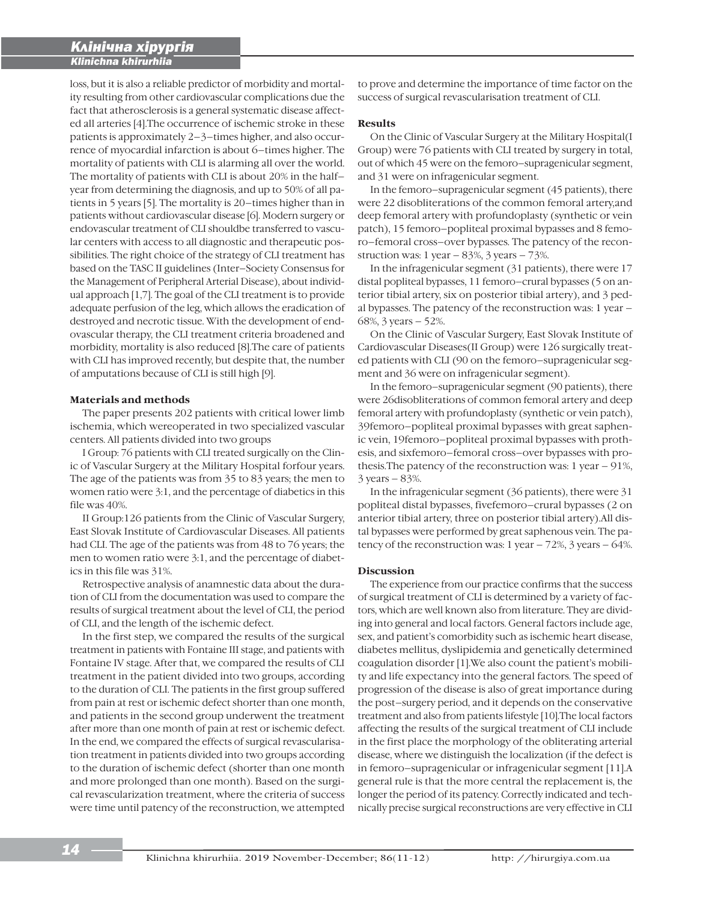i

loss, but it is also a reliable predictor of morbidity and mortality resulting from other cardiovascular complications due the fact that atherosclerosis is a general systematic disease affected all arteries [4].The occurrence of ischemic stroke in these patients is approximately 2–3–times higher, and also occurrence of myocardial infarction is about 6–times higher. The mortality of patients with CLI is alarming all over the world. The mortality of patients with CLI is about 20% in the half– year from determining the diagnosis, and up to 50% of all patients in 5 years [5]. The mortality is 20–times higher than in patients without cardiovascular disease [6]. Modern surgery or endovascular treatment of CLI shouldbe transferred to vascular centers with access to all diagnostic and therapeutic possibilities. The right choice of the strategy of CLI treatment has based on the TASC II guidelines (Inter–Society Consensus for the Management of Peripheral Arterial Disease), about individual approach [1,7]. The goal of the CLI treatment is to provide adequate perfusion of the leg, which allows the eradication of destroyed and necrotic tissue. With the development of endovascular therapy, the CLI treatment criteria broadened and morbidity, mortality is also reduced [8].The care of patients with CLI has improved recently, but despite that, the number of amputations because of CLI is still high [9].

## **Materials and methods**

The paper presents 202 patients with critical lower limb ischemia, which wereoperated in two specialized vascular centers. All patients divided into two groups

I Group: 76 patients with CLI treated surgically on the Clinic of Vascular Surgery at the Military Hospital forfour years. The age of the patients was from 35 to 83 years; the men to women ratio were 3:1, and the percentage of diabetics in this file was 40%.

II Group:126 patients from the Clinic of Vascular Surgery, East Slovak Institute of Cardiovascular Diseases. All patients had CLI. The age of the patients was from 48 to 76 years; the men to women ratio were 3:1, and the percentage of diabetics in this file was 31%.

Retrospective analysis of anamnestic data about the duration of CLI from the documentation was used to compare the results of surgical treatment about the level of CLI, the period of CLI, and the length of the ischemic defect.

In the first step, we compared the results of the surgical treatment in patients with Fontaine III stage, and patients with Fontaine IV stage. After that, we compared the results of CLI treatment in the patient divided into two groups, according to the duration of CLI. The patients in the first group suffered from pain at rest or ischemic defect shorter than one month, and patients in the second group underwent the treatment after more than one month of pain at rest or ischemic defect. In the end, we compared the effects of surgical revascularisation treatment in patients divided into two groups according to the duration of ischemic defect (shorter than one month and more prolonged than one month). Based on the surgical revascularization treatment, where the criteria of success were time until patency of the reconstruction, we attempted

to prove and determine the importance of time factor on the success of surgical revascularisation treatment of CLI.

## **Results**

On the Clinic of Vascular Surgery at the Military Hospital(I Group) were 76 patients with CLI treated by surgery in total, out of which 45 were on the femoro–supragenicular segment, and 31 were on infragenicular segment.

In the femoro–supragenicular segment (45 patients), there were 22 disobliterations of the common femoral artery,and deep femoral artery with profundoplasty (synthetic or vein patch), 15 femoro–popliteal proximal bypasses and 8 femoro–femoral cross–over bypasses. The patency of the reconstruction was: 1 year – 83%, 3 years – 73%.

In the infragenicular segment (31 patients), there were 17 distal popliteal bypasses, 11 femoro–crural bypasses (5 on anterior tibial artery, six on posterior tibial artery), and 3 pedal bypasses. The patency of the reconstruction was: 1 year – 68%, 3 years – 52%.

On the Clinic of Vascular Surgery, East Slovak Institute of Cardiovascular Diseases(II Group) were 126 surgically treated patients with CLI (90 on the femoro–supragenicular segment and 36 were on infragenicular segment).

In the femoro–supragenicular segment (90 patients), there were 26disobliterations of common femoral artery and deep femoral artery with profundoplasty (synthetic or vein patch), 39femoro–popliteal proximal bypasses with great saphenic vein, 19femoro–popliteal proximal bypasses with prothesis, and sixfemoro–femoral cross–over bypasses with prothesis.The patency of the reconstruction was: 1 year – 91%, 3 years – 83%.

In the infragenicular segment (36 patients), there were 31 popliteal distal bypasses, fivefemoro–crural bypasses (2 on anterior tibial artery, three on posterior tibial artery).All distal bypasses were performed by great saphenous vein. The patency of the reconstruction was:  $1$  year  $-72\%$ ,  $3$  years  $-64\%$ .

## Discussion

The experience from our practice confirms that the success of surgical treatment of CLI is determined by a variety of factors, which are well known also from literature. They are dividing into general and local factors. General factors include age, sex, and patient's comorbidity such as ischemic heart disease, diabetes mellitus, dyslipidemia and genetically determined coagulation disorder [1].We also count the patient's mobility and life expectancy into the general factors. The speed of progression of the disease is also of great importance during the post–surgery period, and it depends on the conservative treatment and also from patients lifestyle [10].The local factors affecting the results of the surgical treatment of CLI include in the first place the morphology of the obliterating arterial disease, where we distinguish the localization (if the defect is in femoro–supragenicular or infragenicular segment [11].A general rule is that the more central the replacement is, the longer the period of its patency. Correctly indicated and technically precise surgical reconstructions are very effective in CLI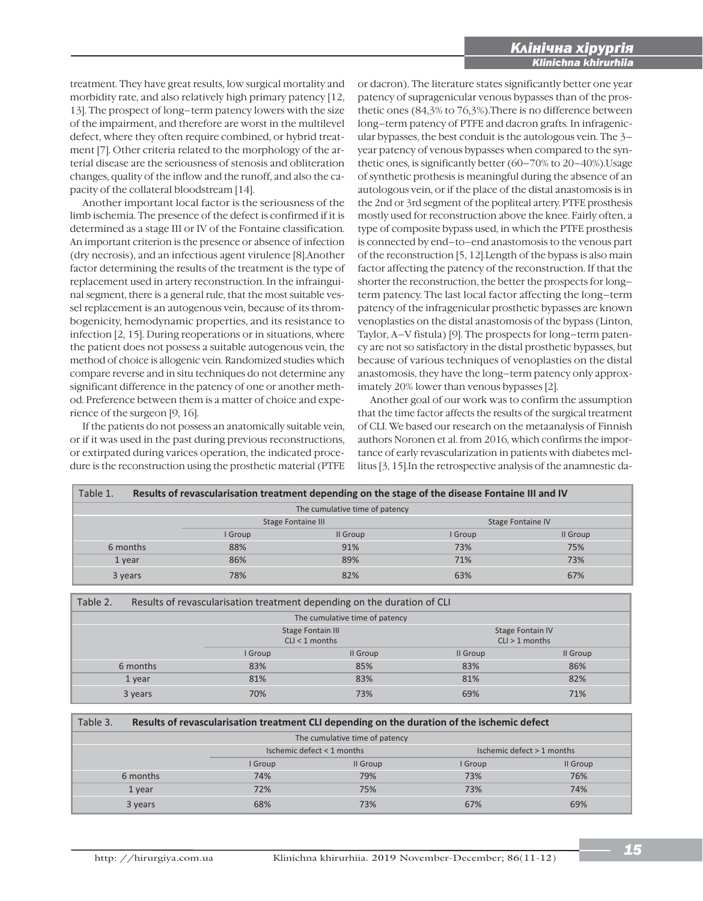treatment. They have great results, low surgical mortality and morbidity rate, and also relatively high primary patency [12, 13]. The prospect of long–term patency lowers with the size of the impairment, and therefore are worst in the multilevel defect, where they often require combined, or hybrid treatment [7]. Other criteria related to the morphology of the arterial disease are the seriousness of stenosis and obliteration changes, quality of the inflow and the runoff, and also the capacity of the collateral bloodstream [14].

Another important local factor is the seriousness of the limb ischemia. The presence of the defect is confirmed if it is determined as a stage III or IV of the Fontaine classification. An important criterion is the presence or absence of infection (dry necrosis), and an infectious agent virulence [8].Another factor determining the results of the treatment is the type of replacement used in artery reconstruction. In the infrainguinal segment, there is a general rule, that the most suitable vessel replacement is an autogenous vein, because of its thrombogenicity, hemodynamic properties, and its resistance to infection [2, 15]. During reoperations or in situations, where the patient does not possess a suitable autogenous vein, the method of choice is allogenic vein. Randomized studies which compare reverse and in situ techniques do not determine any significant difference in the patency of one or another method. Preference between them is a matter of choice and experience of the surgeon [9, 16].

If the patients do not possess an anatomically suitable vein, or if it was used in the past during previous reconstructions, or extirpated during varices operation, the indicated procedure is the reconstruction using the prosthetic material (PTFE or dacron). The literature states significantly better one year patency of supragenicular venous bypasses than of the prosthetic ones (84,3% to 76,3%).There is no difference between long–term patency of PTFE and dacron grafts. In infragenicular bypasses, the best conduit is the autologous vein. The 3– year patency of venous bypasses when compared to the synthetic ones, is significantly better (60–70% to 20–40%).Usage of synthetic prothesis is meaningful during the absence of an autologous vein, or if the place of the distal anastomosis is in the 2nd or 3rd segment of the popliteal artery. PTFE prosthesis mostly used for reconstruction above the knee. Fairly often, a type of composite bypass used, in which the PTFE prosthesis is connected by end–to–end anastomosis to the venous part of the reconstruction [5, 12].Length of the bypass is also main factor affecting the patency of the reconstruction. If that the shorter the reconstruction, the better the prospects for long– term patency. The last local factor affecting the long–term patency of the infragenicular prosthetic bypasses are known venoplasties on the distal anastomosis of the bypass (Linton, Taylor, A–V fistula) [9]. The prospects for long–term patency are not so satisfactory in the distal prosthetic bypasses, but because of various techniques of venoplasties on the distal anastomosis, they have the long–term patency only approximately 20% lower than venous bypasses [2].

i

Another goal of our work was to confirm the assumption that the time factor affects the results of the surgical treatment of CLI. We based our research on the metaanalysis of Finnish authors Noronen et al. from 2016, which confirms the importance of early revascularization in patients with diabetes mellitus [3, 15].In the retrospective analysis of the anamnestic da-

| Table 1.                       | Results of revascularisation treatment depending on the stage of the disease Fontaine III and IV |          |                          |          |  |  |  |  |
|--------------------------------|--------------------------------------------------------------------------------------------------|----------|--------------------------|----------|--|--|--|--|
| The cumulative time of patency |                                                                                                  |          |                          |          |  |  |  |  |
|                                | <b>Stage Fontaine III</b>                                                                        |          | <b>Stage Fontaine IV</b> |          |  |  |  |  |
|                                | I Group                                                                                          | II Group | I Group                  | Il Group |  |  |  |  |
| 6 months                       | 88%                                                                                              | 91%      | 73%                      | 75%      |  |  |  |  |
| 1 year                         | 86%                                                                                              | 89%      | 71%                      | 73%      |  |  |  |  |
| 3 years                        | 78%                                                                                              | 82%      | 63%                      | 67%      |  |  |  |  |

| Table 2.                       | Results of revascularisation treatment depending on the duration of CLI |                                              |          |                                             |          |  |  |  |
|--------------------------------|-------------------------------------------------------------------------|----------------------------------------------|----------|---------------------------------------------|----------|--|--|--|
| The cumulative time of patency |                                                                         |                                              |          |                                             |          |  |  |  |
|                                |                                                                         | <b>Stage Fontain III</b><br>$CLI < 1$ months |          | <b>Stage Fontain IV</b><br>$CLI > 1$ months |          |  |  |  |
|                                |                                                                         | I Group                                      | Il Group | Il Group                                    | Il Group |  |  |  |
|                                | 6 months                                                                | 83%                                          | 85%      | 83%                                         | 86%      |  |  |  |
|                                | 1 year                                                                  | 81%                                          | 83%      | 81%                                         | 82%      |  |  |  |
|                                | 3 years                                                                 | 70%                                          | 73%      | 69%                                         | 71%      |  |  |  |

| Table 3.                       | Results of revascularisation treatment CLI depending on the duration of the ischemic defect |                            |          |                            |          |  |  |  |
|--------------------------------|---------------------------------------------------------------------------------------------|----------------------------|----------|----------------------------|----------|--|--|--|
| The cumulative time of patency |                                                                                             |                            |          |                            |          |  |  |  |
|                                |                                                                                             | Ischemic defect < 1 months |          | Ischemic defect > 1 months |          |  |  |  |
|                                |                                                                                             | I Group                    | II Group | I Group                    | II Group |  |  |  |
|                                | 6 months                                                                                    | 74%                        | 79%      | 73%                        | 76%      |  |  |  |
|                                | 1 year                                                                                      | 72%                        | 75%      | 73%                        | 74%      |  |  |  |
|                                | 3 years                                                                                     | 68%                        | 73%      | 67%                        | 69%      |  |  |  |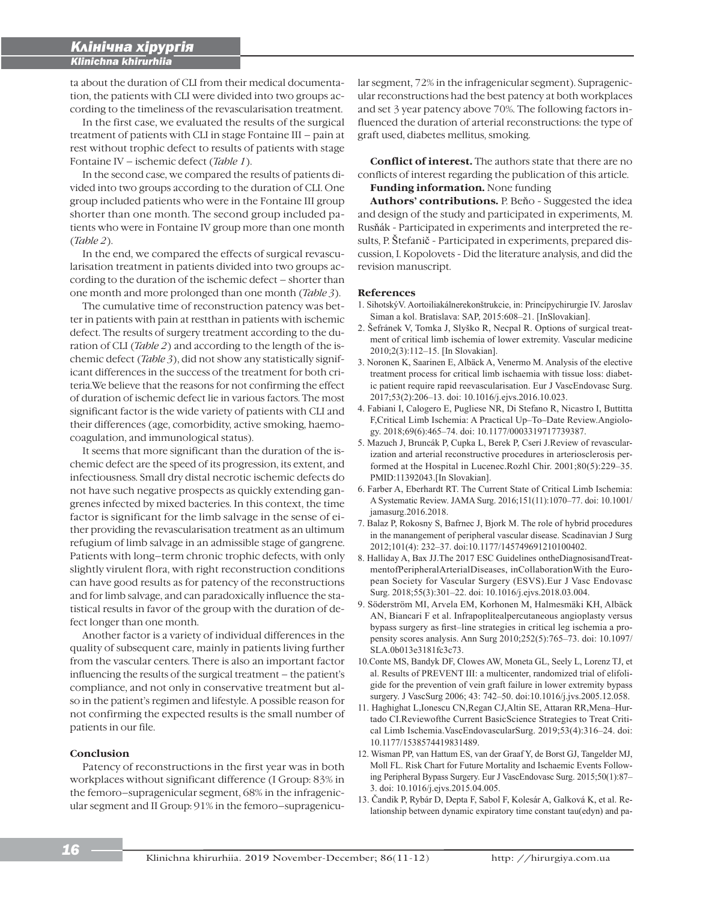i

ta about the duration of CLI from their medical documentation, the patients with CLI were divided into two groups according to the timeliness of the revascularisation treatment.

In the first case, we evaluated the results of the surgical treatment of patients with CLI in stage Fontaine III – pain at rest without trophic defect to results of patients with stage Fontaine IV – ischemic defect (*Table 1*).

In the second case, we compared the results of patients divided into two groups according to the duration of CLI. One group included patients who were in the Fontaine III group shorter than one month. The second group included patients who were in Fontaine IV group more than one month (*Table 2*).

In the end, we compared the effects of surgical revascularisation treatment in patients divided into two groups according to the duration of the ischemic defect – shorter than one month and more prolonged than one month (*Table 3*).

The cumulative time of reconstruction patency was better in patients with pain at restthan in patients with ischemic defect. The results of surgery treatment according to the duration of CLI (*Table 2*) and according to the length of the ischemic defect (*Table 3*), did not show any statistically significant differences in the success of the treatment for both criteria.We believe that the reasons for not confirming the effect of duration of ischemic defect lie in various factors. The most significant factor is the wide variety of patients with CLI and their differences (age, comorbidity, active smoking, haemocoagulation, and immunological status).

It seems that more significant than the duration of the ischemic defect are the speed of its progression, its extent, and infectiousness. Small dry distal necrotic ischemic defects do not have such negative prospects as quickly extending gangrenes infected by mixed bacteries. In this context, the time factor is significant for the limb salvage in the sense of either providing the revascularisation treatment as an ultimum refugium of limb salvage in an admissible stage of gangrene. Patients with long–term chronic trophic defects, with only slightly virulent flora, with right reconstruction conditions can have good results as for patency of the reconstructions and for limb salvage, and can paradoxically influence the statistical results in favor of the group with the duration of defect longer than one month.

Another factor is a variety of individual differences in the quality of subsequent care, mainly in patients living further from the vascular centers. There is also an important factor influencing the results of the surgical treatment – the patient's compliance, and not only in conservative treatment but also in the patient's regimen and lifestyle. A possible reason for not confirming the expected results is the small number of patients in our file.

## **Conclusion**

Patency of reconstructions in the first year was in both workplaces without significant difference (I Group: 83% in the femoro–supragenicular segment, 68% in the infragenicular segment and II Group: 91% in the femoro–supragenicular segment, 72% in the infragenicular segment). Supragenicular reconstructions had the best patency at both workplaces and set 3 year patency above 70%. The following factors influenced the duration of arterial reconstructions: the type of graft used, diabetes mellitus, smoking.

**Conflict of interest.** The authors state that there are no conflicts of interest regarding the publication of this article.

**Funding information.** None funding

Authors' contributions. P. Beňo - Suggested the idea and design of the study and participated in experiments, M. Rusňák - Participated in experiments and interpreted the results, P. Štefanič - Participated in experiments, prepared discussion, I. Kopolovets - Did the literature analysis, and did the revision manuscript.

#### **References**

- 1. Sihotský V. Aortoiliakálnerekonštrukcie, in: Princípychirurgie IV. Jaroslav Siman a kol. Bratislava: SAP, 2015:608-21. [InSlovakian].
- 2. Šefránek V, Tomka J, Slyško R, Necpal R. Options of surgical treatment of critical limb ischemia of lower extremity. Vascular medicine 2010;2(3):112-15. [In Slovakian].
- 3. Noronen K, Saarinen E, Albäck A, Venermo M. Analysis of the elective treatment process for critical limb ischaemia with tissue loss: diabetic patient require rapid reevascularisation. Eur J VascEndovasc Surg. 2017;53(2):206-13. doi: 10.1016/j.ejvs.2016.10.023.
- 4. Fabiani I, Calogero E, Pugliese NR, Di Stefano R, Nicastro I, Buttitta F, Critical Limb Ischemia: A Practical Up-To-Date Review. Angiology. 2018;69(6):465-74. doi: 10.1177/0003319717739387.
- 5. Mazuch J, Bruncák P, Cupka L, Berek P, Cseri J.Review of revascularization and arterial reconstructive procedures in arteriosclerosis performed at the Hospital in Lucenec.Rozhl Chir. 2001;80(5):229-35. PMID:11392043.[In Slovakian].
- 6. Farber A, Eberhardt RT. The Current State of Critical Limb Ischemia: A Systematic Review. JAMA Surg. 2016;151(11):1070-77. doi: 10.1001/ jamasurg.2016.2018.
- 7. Balaz P, Rokosny S, Bafrnec J, Bjork M. The role of hybrid procedures in the manangement of peripheral vascular disease. Scadinavian J Surg 2012;101(4): 232-37. doi:10.1177/145749691210100402.
- 8. Halliday A, Bax JJ. The 2017 ESC Guidelines onthe Diagnosis and TreatmentofPeripheralArterialDiseases, inCollaborationWith the European Society for Vascular Surgery (ESVS).Eur J Vasc Endovasc Surg. 2018;55(3):301-22. doi: 10.1016/j.ejvs.2018.03.004.
- 9. Söderström MI, Arvela EM, Korhonen M, Halmesmäki KH, Albäck AN, Biancari F et al. Infrapoplitealpercutaneous angioplasty versus bypass surgery as first-line strategies in critical leg ischemia a propensity scores analysis. Ann Surg  $2010;252(5):765-73$ . doi:  $10.1097/$ SLA.0b013e3181fc3c73.
- 10. Conte MS, Bandyk DF, Clowes AW, Moneta GL, Seely L, Lorenz TJ, et al. Results of PREVENT III: a multicenter, randomized trial of elifoligide for the prevention of vein graft failure in lower extremity bypass surgery. J VascSurg 2006; 43: 742–50. doi:10.1016/j.jvs.2005.12.058.
- 11. Haghighat L, Ionescu CN, Regan CJ, Altin SE, Attaran RR, Mena-Hurtado CI.Reviewofthe Current BasicScience Strategies to Treat Critical Limb Ischemia. VascEndovascularSurg. 2019;53(4):316-24. doi: 10.1177/1538574419831489.
- 12. Wisman PP, van Hattum ES, van der Graaf Y, de Borst GJ, Tangelder MJ, Moll FL. Risk Chart for Future Mortality and Ischaemic Events Following Peripheral Bypass Surgery. Eur J VascEndovasc Surg. 2015;50(1):87-3. doi: 10.1016/j.ejvs.2015.04.005.
- 13. Čandik P, Rybár D, Depta F, Sabol F, Kolesár A, Galková K, et al. Relationship between dynamic expiratory time constant tau(edyn) and pa-